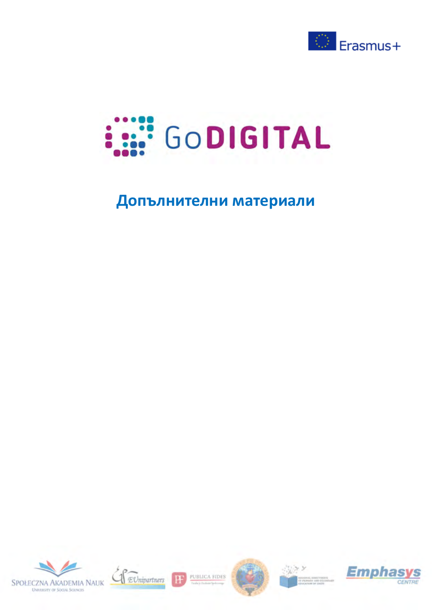



# **Допълнителни материали**





PUBLICA FIDES

**H** 





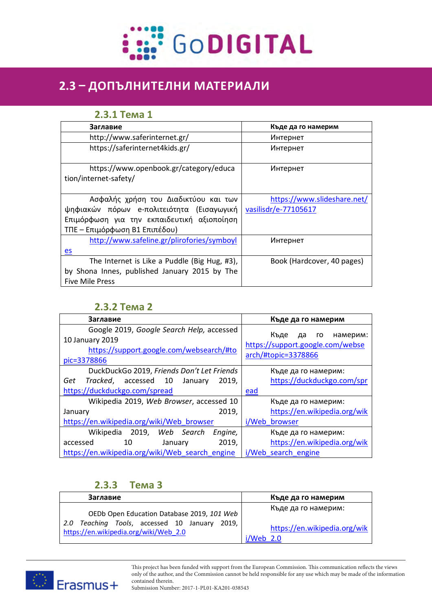

## **2.3 – ДОПЪЛНИТЕЛНИ МАТЕРИАЛИ 2.3 – Допълнителни материали**

#### **2.3.1 Тема 1**

| Заглавие                                                        | Къде да го намерим          |
|-----------------------------------------------------------------|-----------------------------|
| http://www.saferinternet.gr/                                    | Интернет                    |
| https://saferinternet4kids.gr/                                  | Интернет                    |
| https://www.openbook.gr/category/educa<br>tion/internet-safety/ | Интернет                    |
| Ασφαλής χρήση του Διαδικτύου και των                            | https://www.slideshare.net/ |
| ψηφιακών πόρων e-πολιτειότητα (Εισαγωγική                       | vasilisdr/e-77105617        |
| Επιμόρφωση για την εκπαιδευτική αξιοποίηση                      |                             |
| ΤΠΕ – Επιμόρφωση Β1 Επιπέδου)                                   |                             |
| http://www.safeline.gr/plirofories/symboyl                      | Интернет                    |
| es                                                              |                             |
| The Internet is Like a Puddle (Big Hug, #3),                    | Book (Hardcover, 40 pages)  |
| by Shona Innes, published January 2015 by The                   |                             |
| <b>Five Mile Press</b>                                          |                             |

#### **2.3.2 Тема 2**

| Заглавие                                                                                                                | Къде да го намерим                                                                      |
|-------------------------------------------------------------------------------------------------------------------------|-----------------------------------------------------------------------------------------|
| Google 2019, Google Search Help, accessed<br>10 January 2019<br>https://support.google.com/websearch/#to<br>pic=3378866 | Къде<br>да<br>гo<br>намерим:<br>https://support.google.com/webse<br>arch/#topic=3378866 |
| DuckDuckGo 2019, Friends Don't Let Friends<br>Tracked, accessed<br>10<br>Get                                            | Къде да го намерим:<br>https://duckduckgo.com/spr                                       |
| 2019,<br>January<br>https://duckduckgo.com/spread                                                                       | ead                                                                                     |
| Wikipedia 2019, Web Browser, accessed 10                                                                                | Къде да го намерим:                                                                     |
| 2019,<br>January                                                                                                        | https://en.wikipedia.org/wik                                                            |
| https://en.wikipedia.org/wiki/Web browser                                                                               | i/Web browser                                                                           |
| Wikipedia 2019,<br>Web Search<br>Engine,                                                                                | Къде да го намерим:                                                                     |
| 2019,<br>10<br>accessed<br>January                                                                                      | https://en.wikipedia.org/wik                                                            |
| https://en.wikipedia.org/wiki/Web search engine                                                                         | i/Web search engine                                                                     |

#### **2.3.3 Тема 3**

| Заглавие                                                                                                                                | Къде да го намерим                                               |
|-----------------------------------------------------------------------------------------------------------------------------------------|------------------------------------------------------------------|
| OEDb Open Education Database 2019, 101 Web<br>Teaching Tools, accessed 10 January 2019,<br>2.0<br>https://en.wikipedia.org/wiki/Web 2.0 | Къде да го намерим:<br>https://en.wikipedia.org/wik<br>i/Web 2.0 |

This project has been funded with support from the European Commission. This communication reflects the views 1 only of the author, and the Commission cannot be held responsible for any use which may be made of the information<br>contained therein contained therein.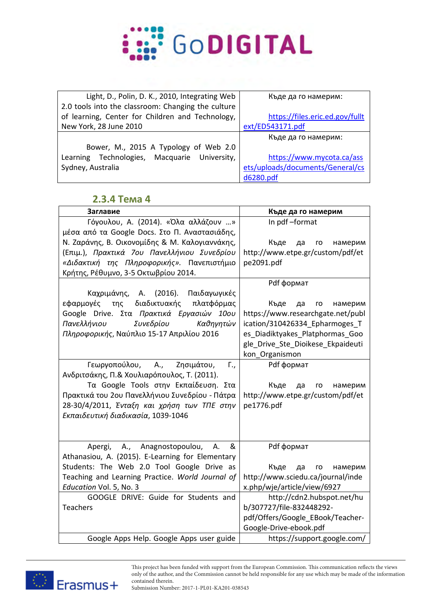

| Light, D., Polin, D. K., 2010, Integrating Web     | Къде да го намерим:              |
|----------------------------------------------------|----------------------------------|
| 2.0 tools into the classroom: Changing the culture |                                  |
| of learning, Center for Children and Technology,   | https://files.eric.ed.gov/fullt  |
| New York, 28 June 2010                             | ext/ED543171.pdf                 |
|                                                    | Къде да го намерим:              |
| Bower, M., 2015 A Typology of Web 2.0              |                                  |
| Learning Technologies, Macquarie University,       | https://www.mycota.ca/ass        |
| Sydney, Australia                                  | ets/uploads/documents/General/cs |
|                                                    | d6280.pdf                        |

### **2.3.4 Тема 4**

| Заглавие                                         | Къде да го намерим                |
|--------------------------------------------------|-----------------------------------|
| Γόγουλου, Α. (2014). «Όλα αλλάζουν »             | In pdf-format                     |
| μέσα από τα Google Docs. Στο Π. Αναστασιάδης,    |                                   |
| Ν. Ζαράνης, Β. Οικονομίδης & Μ. Καλογιαννάκης,   | Къде<br>намерим<br>да<br>го       |
| (Επιμ.), Πρακτικά 7ου Πανελλήνιου Συνεδρίου      | http://www.etpe.gr/custom/pdf/et  |
| «Διδακτική της Πληροφορικής». Πανεπιστήμιο       | pe2091.pdf                        |
| Κρήτης, Ρέθυμνο, 3-5 Οκτωβρίου 2014.             |                                   |
|                                                  | Pdf формат                        |
| Καχριμάνης, Α. (2016). Παιδαγωγικές              |                                   |
| πλατφόρμας<br>διαδικτυακής<br>εφαρμογές<br>της   | Къде<br>намерим<br>да<br>ГО       |
| Στα Πρακτικά Εργασιών 10ου<br>Google Drive.      | https://www.researchgate.net/publ |
| Πανελλήνιου<br>Συνεδρίου<br>Καθηγητών            | ication/310426334_Epharmoges_T    |
| Πληροφορικής, Ναύπλιο 15-17 Απριλίου 2016        | es_Diadiktyakes_Platphormas_Goo   |
|                                                  | gle Drive Ste Dioikese Ekpaideuti |
|                                                  | kon_Organismon                    |
| Γεωργοπούλου, Α.,<br>Ζησιμάτου,<br>Γ.,           | Pdf формат                        |
| Ανδριτσάκης, Π.& Χουλιαρόπουλος, Τ. (2011).      |                                   |
| Τα Google Tools στην Εκπαίδευση. Στα             | Къде<br>намерим<br>да<br>го       |
| Πρακτικά του 2ου Πανελλήνιου Συνεδρίου - Πάτρα   | http://www.etpe.gr/custom/pdf/et  |
| 28-30/4/2011, Ένταξη και χρήση των ΤΠΕ στην      | pe1776.pdf                        |
| Εκπαιδευτική διαδικασία, 1039-1046               |                                   |
|                                                  |                                   |
|                                                  |                                   |
| Apergi, A., Anagnostopoulou,<br>&<br>A.          | Pdf формат                        |
| Athanasiou, A. (2015). E-Learning for Elementary |                                   |
| Students: The Web 2.0 Tool Google Drive as       | намерим<br>Къде<br>да<br>го       |
| Teaching and Learning Practice. World Journal of | http://www.sciedu.ca/journal/inde |
| Education Vol. 5, No. 3                          | x.php/wje/article/view/6927       |
| GOOGLE DRIVE: Guide for Students and             | http://cdn2.hubspot.net/hu        |
| Teachers                                         | b/307727/file-832448292-          |
|                                                  | pdf/Offers/Google_EBook/Teacher-  |
|                                                  | Google-Drive-ebook.pdf            |
| Google Apps Help. Google Apps user guide         | https://support.google.com/       |